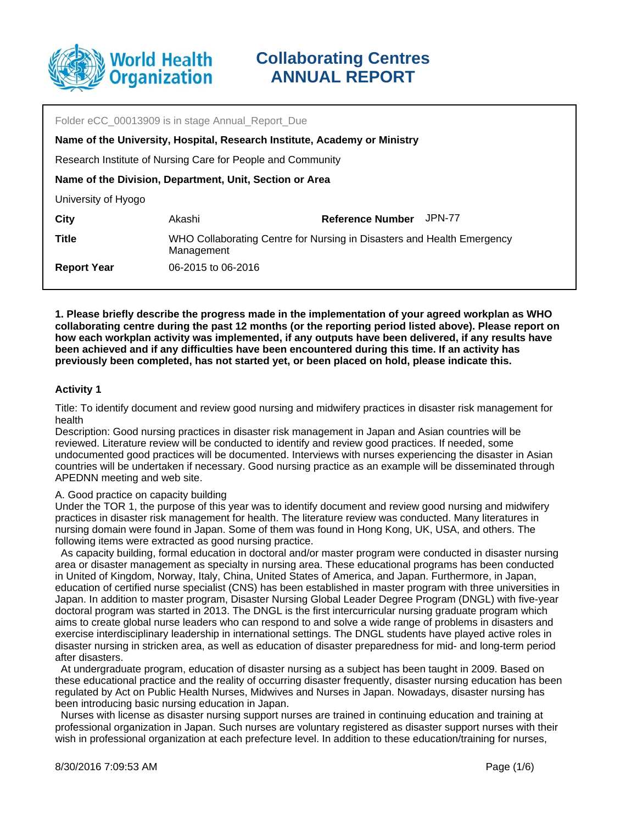

Folder eCC 00013909 is in stage Annual\_Report\_Due Akashi Research Institute of Nursing Care for People and Community **Name of the Division, Department, Unit, Section or Area** University of Hyogo **City Reference Number** JPN-77 **Name of the University, Hospital, Research Institute, Academy or Ministry Title** WHO Collaborating Centre for Nursing in Disasters and Health Emergency Management **Report Year** 06-2015 to 06-2016

**1. Please briefly describe the progress made in the implementation of your agreed workplan as WHO collaborating centre during the past 12 months (or the reporting period listed above). Please report on how each workplan activity was implemented, if any outputs have been delivered, if any results have been achieved and if any difficulties have been encountered during this time. If an activity has previously been completed, has not started yet, or been placed on hold, please indicate this.**

### **Activity 1**

Title: To identify document and review good nursing and midwifery practices in disaster risk management for health

Description: Good nursing practices in disaster risk management in Japan and Asian countries will be reviewed. Literature review will be conducted to identify and review good practices. If needed, some undocumented good practices will be documented. Interviews with nurses experiencing the disaster in Asian countries will be undertaken if necessary. Good nursing practice as an example will be disseminated through APEDNN meeting and web site.

### A. Good practice on capacity building

Under the TOR 1, the purpose of this year was to identify document and review good nursing and midwifery practices in disaster risk management for health. The literature review was conducted. Many literatures in nursing domain were found in Japan. Some of them was found in Hong Kong, UK, USA, and others. The following items were extracted as good nursing practice.

 As capacity building, formal education in doctoral and/or master program were conducted in disaster nursing area or disaster management as specialty in nursing area. These educational programs has been conducted in United of Kingdom, Norway, Italy, China, United States of America, and Japan. Furthermore, in Japan, education of certified nurse specialist (CNS) has been established in master program with three universities in Japan. In addition to master program, Disaster Nursing Global Leader Degree Program (DNGL) with five-year doctoral program was started in 2013. The DNGL is the first intercurricular nursing graduate program which aims to create global nurse leaders who can respond to and solve a wide range of problems in disasters and exercise interdisciplinary leadership in international settings. The DNGL students have played active roles in disaster nursing in stricken area, as well as education of disaster preparedness for mid- and long-term period after disasters.

 At undergraduate program, education of disaster nursing as a subject has been taught in 2009. Based on these educational practice and the reality of occurring disaster frequently, disaster nursing education has been regulated by Act on Public Health Nurses, Midwives and Nurses in Japan. Nowadays, disaster nursing has been introducing basic nursing education in Japan.

 Nurses with license as disaster nursing support nurses are trained in continuing education and training at professional organization in Japan. Such nurses are voluntary registered as disaster support nurses with their wish in professional organization at each prefecture level. In addition to these education/training for nurses,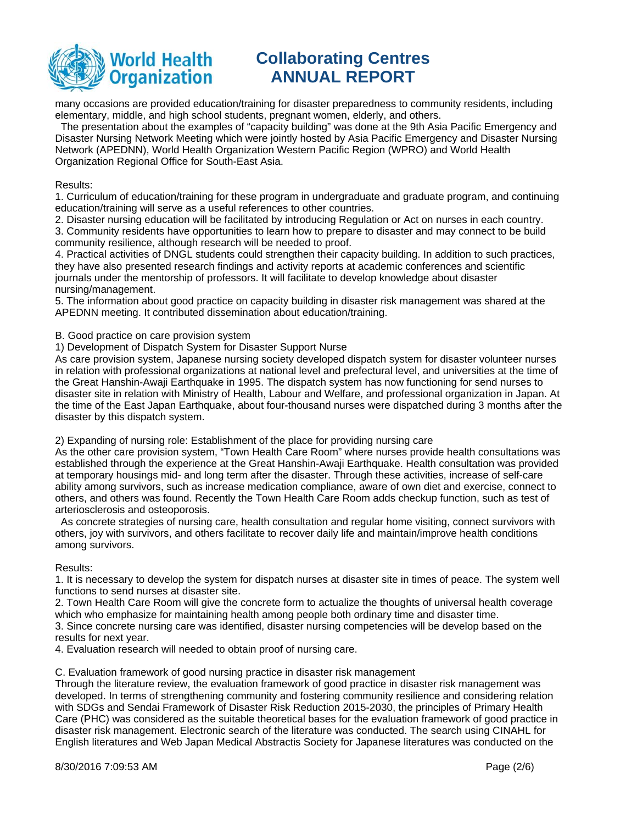

many occasions are provided education/training for disaster preparedness to community residents, including elementary, middle, and high school students, pregnant women, elderly, and others.

 The presentation about the examples of "capacity building" was done at the 9th Asia Pacific Emergency and Disaster Nursing Network Meeting which were jointly hosted by Asia Pacific Emergency and Disaster Nursing Network (APEDNN), World Health Organization Western Pacific Region (WPRO) and World Health Organization Regional Office for South-East Asia.

#### Results:

1. Curriculum of education/training for these program in undergraduate and graduate program, and continuing education/training will serve as a useful references to other countries.

2. Disaster nursing education will be facilitated by introducing Regulation or Act on nurses in each country.

3. Community residents have opportunities to learn how to prepare to disaster and may connect to be build community resilience, although research will be needed to proof.

4. Practical activities of DNGL students could strengthen their capacity building. In addition to such practices, they have also presented research findings and activity reports at academic conferences and scientific journals under the mentorship of professors. It will facilitate to develop knowledge about disaster nursing/management.

5. The information about good practice on capacity building in disaster risk management was shared at the APEDNN meeting. It contributed dissemination about education/training.

B. Good practice on care provision system

1) Development of Dispatch System for Disaster Support Nurse

As care provision system, Japanese nursing society developed dispatch system for disaster volunteer nurses in relation with professional organizations at national level and prefectural level, and universities at the time of the Great Hanshin-Awaji Earthquake in 1995. The dispatch system has now functioning for send nurses to disaster site in relation with Ministry of Health, Labour and Welfare, and professional organization in Japan. At the time of the East Japan Earthquake, about four-thousand nurses were dispatched during 3 months after the disaster by this dispatch system.

2) Expanding of nursing role: Establishment of the place for providing nursing care

As the other care provision system, "Town Health Care Room" where nurses provide health consultations was established through the experience at the Great Hanshin-Awaji Earthquake. Health consultation was provided at temporary housings mid- and long term after the disaster. Through these activities, increase of self-care ability among survivors, such as increase medication compliance, aware of own diet and exercise, connect to others, and others was found. Recently the Town Health Care Room adds checkup function, such as test of arteriosclerosis and osteoporosis.

 As concrete strategies of nursing care, health consultation and regular home visiting, connect survivors with others, joy with survivors, and others facilitate to recover daily life and maintain/improve health conditions among survivors.

Results:

1. It is necessary to develop the system for dispatch nurses at disaster site in times of peace. The system well functions to send nurses at disaster site.

2. Town Health Care Room will give the concrete form to actualize the thoughts of universal health coverage which who emphasize for maintaining health among people both ordinary time and disaster time.

3. Since concrete nursing care was identified, disaster nursing competencies will be develop based on the results for next year.

4. Evaluation research will needed to obtain proof of nursing care.

C. Evaluation framework of good nursing practice in disaster risk management

Through the literature review, the evaluation framework of good practice in disaster risk management was developed. In terms of strengthening community and fostering community resilience and considering relation with SDGs and Sendai Framework of Disaster Risk Reduction 2015-2030, the principles of Primary Health Care (PHC) was considered as the suitable theoretical bases for the evaluation framework of good practice in disaster risk management. Electronic search of the literature was conducted. The search using CINAHL for English literatures and Web Japan Medical Abstractis Society for Japanese literatures was conducted on the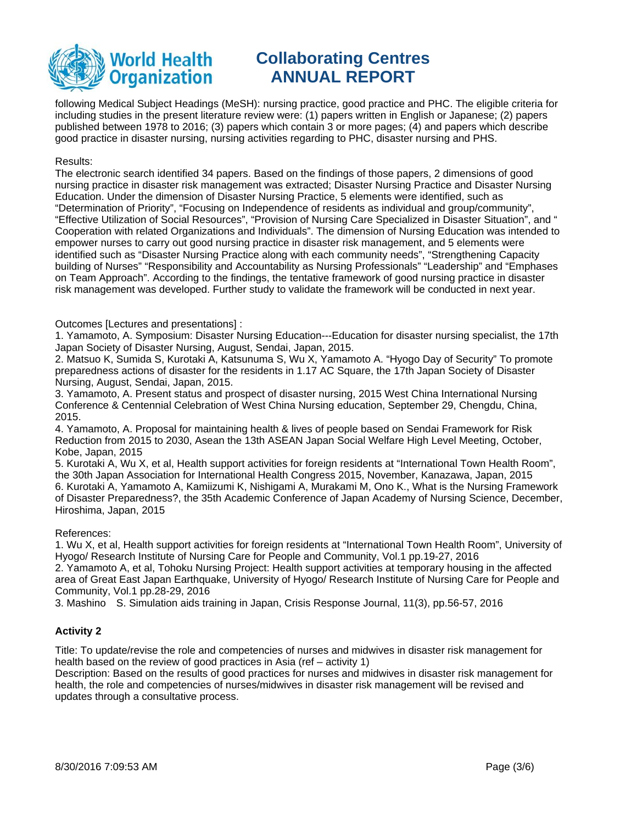

following Medical Subject Headings (MeSH): nursing practice, good practice and PHC. The eligible criteria for including studies in the present literature review were: (1) papers written in English or Japanese; (2) papers published between 1978 to 2016; (3) papers which contain 3 or more pages; (4) and papers which describe good practice in disaster nursing, nursing activities regarding to PHC, disaster nursing and PHS.

#### Results:

The electronic search identified 34 papers. Based on the findings of those papers, 2 dimensions of good nursing practice in disaster risk management was extracted; Disaster Nursing Practice and Disaster Nursing Education. Under the dimension of Disaster Nursing Practice, 5 elements were identified, such as "Determination of Priority", "Focusing on Independence of residents as individual and group/community", "Effective Utilization of Social Resources", "Provision of Nursing Care Specialized in Disaster Situation", and " Cooperation with related Organizations and Individuals". The dimension of Nursing Education was intended to empower nurses to carry out good nursing practice in disaster risk management, and 5 elements were identified such as "Disaster Nursing Practice along with each community needs", "Strengthening Capacity building of Nurses" "Responsibility and Accountability as Nursing Professionals" "Leadership" and "Emphases on Team Approach". According to the findings, the tentative framework of good nursing practice in disaster risk management was developed. Further study to validate the framework will be conducted in next year.

#### Outcomes [Lectures and presentations] :

1. Yamamoto, A. Symposium: Disaster Nursing Education---Education for disaster nursing specialist, the 17th Japan Society of Disaster Nursing, August, Sendai, Japan, 2015.

2. Matsuo K, Sumida S, Kurotaki A, Katsunuma S, Wu X, Yamamoto A. "Hyogo Day of Security" To promote preparedness actions of disaster for the residents in 1.17 AC Square, the 17th Japan Society of Disaster Nursing, August, Sendai, Japan, 2015.

3. Yamamoto, A. Present status and prospect of disaster nursing, 2015 West China International Nursing Conference & Centennial Celebration of West China Nursing education, September 29, Chengdu, China, 2015.

4. Yamamoto, A. Proposal for maintaining health & lives of people based on Sendai Framework for Risk Reduction from 2015 to 2030, Asean the 13th ASEAN Japan Social Welfare High Level Meeting, October, Kobe, Japan, 2015

5. Kurotaki A, Wu X, et al, Health support activities for foreign residents at "International Town Health Room", the 30th Japan Association for International Health Congress 2015, November, Kanazawa, Japan, 2015 6. Kurotaki A, Yamamoto A, Kamiizumi K, Nishigami A, Murakami M, Ono K., What is the Nursing Framework of Disaster Preparedness?, the 35th Academic Conference of Japan Academy of Nursing Science, December, Hiroshima, Japan, 2015

#### References:

1. Wu X, et al, Health support activities for foreign residents at "International Town Health Room", University of Hyogo/ Research Institute of Nursing Care for People and Community, Vol.1 pp.19-27, 2016

2. Yamamoto A, et al, Tohoku Nursing Project: Health support activities at temporary housing in the affected area of Great East Japan Earthquake, University of Hyogo/ Research Institute of Nursing Care for People and Community, Vol.1 pp.28-29, 2016

3. Mashino S. Simulation aids training in Japan, Crisis Response Journal, 11(3), pp.56-57, 2016

### **Activity 2**

Title: To update/revise the role and competencies of nurses and midwives in disaster risk management for health based on the review of good practices in Asia (ref – activity 1)

Description: Based on the results of good practices for nurses and midwives in disaster risk management for health, the role and competencies of nurses/midwives in disaster risk management will be revised and updates through a consultative process.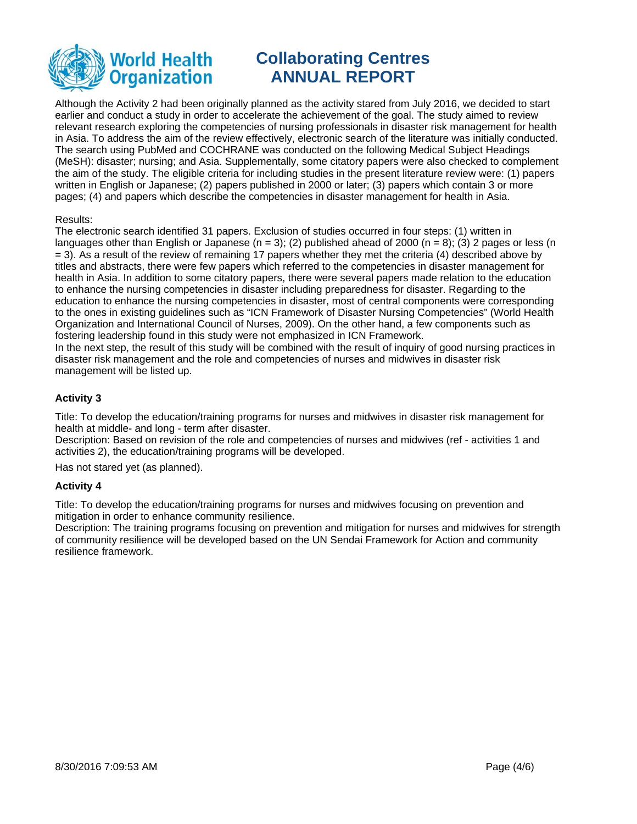

Although the Activity 2 had been originally planned as the activity stared from July 2016, we decided to start earlier and conduct a study in order to accelerate the achievement of the goal. The study aimed to review relevant research exploring the competencies of nursing professionals in disaster risk management for health in Asia. To address the aim of the review effectively, electronic search of the literature was initially conducted. The search using PubMed and COCHRANE was conducted on the following Medical Subject Headings (MeSH): disaster; nursing; and Asia. Supplementally, some citatory papers were also checked to complement the aim of the study. The eligible criteria for including studies in the present literature review were: (1) papers written in English or Japanese; (2) papers published in 2000 or later; (3) papers which contain 3 or more pages; (4) and papers which describe the competencies in disaster management for health in Asia.

### Results:

The electronic search identified 31 papers. Exclusion of studies occurred in four steps: (1) written in languages other than English or Japanese (n = 3); (2) published ahead of 2000 (n = 8); (3) 2 pages or less (n = 3). As a result of the review of remaining 17 papers whether they met the criteria (4) described above by titles and abstracts, there were few papers which referred to the competencies in disaster management for health in Asia. In addition to some citatory papers, there were several papers made relation to the education to enhance the nursing competencies in disaster including preparedness for disaster. Regarding to the education to enhance the nursing competencies in disaster, most of central components were corresponding to the ones in existing guidelines such as "ICN Framework of Disaster Nursing Competencies" (World Health Organization and International Council of Nurses, 2009). On the other hand, a few components such as fostering leadership found in this study were not emphasized in ICN Framework.

In the next step, the result of this study will be combined with the result of inquiry of good nursing practices in disaster risk management and the role and competencies of nurses and midwives in disaster risk management will be listed up.

## **Activity 3**

Title: To develop the education/training programs for nurses and midwives in disaster risk management for health at middle- and long - term after disaster.

Description: Based on revision of the role and competencies of nurses and midwives (ref - activities 1 and activities 2), the education/training programs will be developed.

Has not stared yet (as planned).

## **Activity 4**

Title: To develop the education/training programs for nurses and midwives focusing on prevention and mitigation in order to enhance community resilience.

Description: The training programs focusing on prevention and mitigation for nurses and midwives for strength of community resilience will be developed based on the UN Sendai Framework for Action and community resilience framework.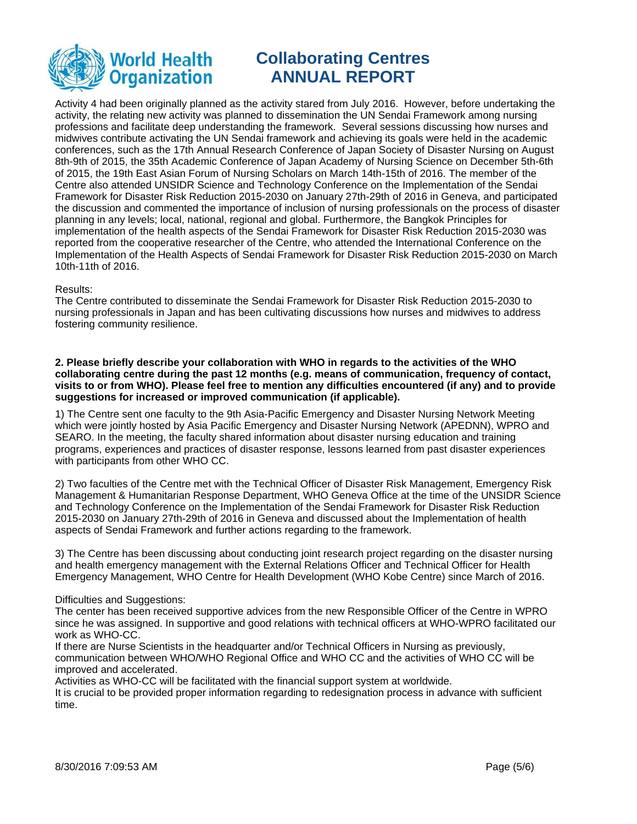

Activity 4 had been originally planned as the activity stared from July 2016. However, before undertaking the activity, the relating new activity was planned to dissemination the UN Sendai Framework among nursing professions and facilitate deep understanding the framework. Several sessions discussing how nurses and midwives contribute activating the UN Sendai framework and achieving its goals were held in the academic conferences, such as the 17th Annual Research Conference of Japan Society of Disaster Nursing on August 8th-9th of 2015, the 35th Academic Conference of Japan Academy of Nursing Science on December 5th-6th of 2015, the 19th East Asian Forum of Nursing Scholars on March 14th-15th of 2016. The member of the Centre also attended UNSIDR Science and Technology Conference on the Implementation of the Sendai Framework for Disaster Risk Reduction 2015-2030 on January 27th-29th of 2016 in Geneva, and participated the discussion and commented the importance of inclusion of nursing professionals on the process of disaster planning in any levels; local, national, regional and global. Furthermore, the Bangkok Principles for implementation of the health aspects of the Sendai Framework for Disaster Risk Reduction 2015-2030 was reported from the cooperative researcher of the Centre, who attended the International Conference on the Implementation of the Health Aspects of Sendai Framework for Disaster Risk Reduction 2015-2030 on March 10th-11th of 2016.

#### Results:

The Centre contributed to disseminate the Sendai Framework for Disaster Risk Reduction 2015-2030 to nursing professionals in Japan and has been cultivating discussions how nurses and midwives to address fostering community resilience.

**2. Please briefly describe your collaboration with WHO in regards to the activities of the WHO collaborating centre during the past 12 months (e.g. means of communication, frequency of contact, visits to or from WHO). Please feel free to mention any difficulties encountered (if any) and to provide suggestions for increased or improved communication (if applicable).**

1) The Centre sent one faculty to the 9th Asia-Pacific Emergency and Disaster Nursing Network Meeting which were jointly hosted by Asia Pacific Emergency and Disaster Nursing Network (APEDNN), WPRO and SEARO. In the meeting, the faculty shared information about disaster nursing education and training programs, experiences and practices of disaster response, lessons learned from past disaster experiences with participants from other WHO CC.

2) Two faculties of the Centre met with the Technical Officer of Disaster Risk Management, Emergency Risk Management & Humanitarian Response Department, WHO Geneva Office at the time of the UNSIDR Science and Technology Conference on the Implementation of the Sendai Framework for Disaster Risk Reduction 2015-2030 on January 27th-29th of 2016 in Geneva and discussed about the Implementation of health aspects of Sendai Framework and further actions regarding to the framework.

3) The Centre has been discussing about conducting joint research project regarding on the disaster nursing and health emergency management with the External Relations Officer and Technical Officer for Health Emergency Management, WHO Centre for Health Development (WHO Kobe Centre) since March of 2016.

### Difficulties and Suggestions:

The center has been received supportive advices from the new Responsible Officer of the Centre in WPRO since he was assigned. In supportive and good relations with technical officers at WHO-WPRO facilitated our work as WHO-CC.

If there are Nurse Scientists in the headquarter and/or Technical Officers in Nursing as previously, communication between WHO/WHO Regional Office and WHO CC and the activities of WHO CC will be improved and accelerated.

Activities as WHO-CC will be facilitated with the financial support system at worldwide.

It is crucial to be provided proper information regarding to redesignation process in advance with sufficient time.